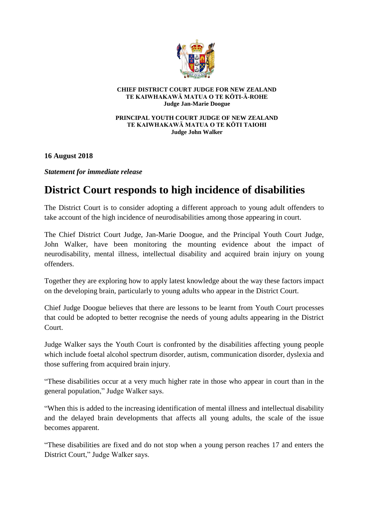

## **CHIEF DISTRICT COURT JUDGE FOR NEW ZEALAND TE KAIWHAKAWĀ MATUA O TE KŌTI-Ā-ROHE Judge Jan-Marie Doogue**

## **PRINCIPAL YOUTH COURT JUDGE OF NEW ZEALAND TE KAIWHAKAWĀ MATUA O TE KŌTI TAIOHI Judge John Walker**

**16 August 2018**

*Statement for immediate release* 

## **District Court responds to high incidence of disabilities**

The District Court is to consider adopting a different approach to young adult offenders to take account of the high incidence of neurodisabilities among those appearing in court.

The Chief District Court Judge, Jan-Marie Doogue, and the Principal Youth Court Judge, John Walker, have been monitoring the mounting evidence about the impact of neurodisability, mental illness, intellectual disability and acquired brain injury on young offenders.

Together they are exploring how to apply latest knowledge about the way these factors impact on the developing brain, particularly to young adults who appear in the District Court.

Chief Judge Doogue believes that there are lessons to be learnt from Youth Court processes that could be adopted to better recognise the needs of young adults appearing in the District Court.

Judge Walker says the Youth Court is confronted by the disabilities affecting young people which include foetal alcohol spectrum disorder, autism, communication disorder, dyslexia and those suffering from acquired brain injury.

"These disabilities occur at a very much higher rate in those who appear in court than in the general population," Judge Walker says.

"When this is added to the increasing identification of mental illness and intellectual disability and the delayed brain developments that affects all young adults, the scale of the issue becomes apparent.

"These disabilities are fixed and do not stop when a young person reaches 17 and enters the District Court," Judge Walker says.